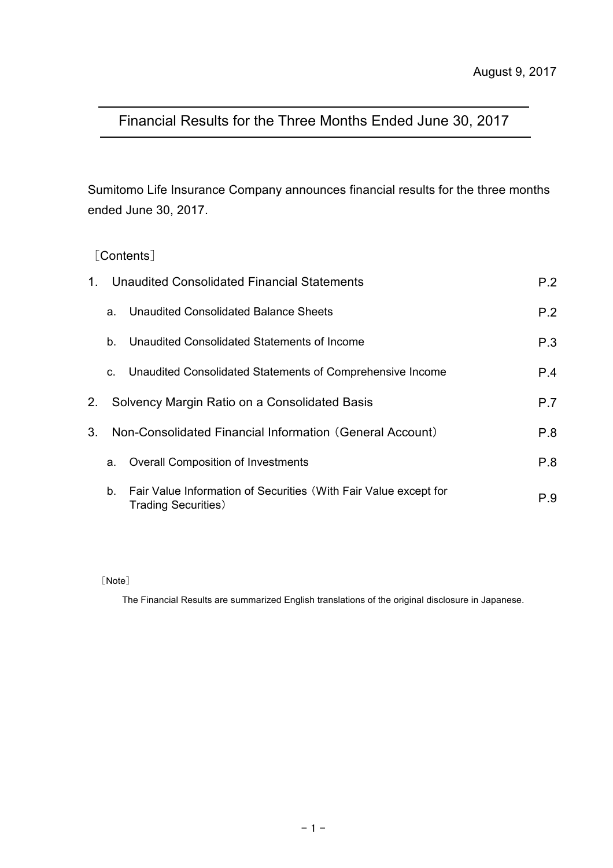# Financial Results for the Three Months Ended June 30, 2017

Sumitomo Life Insurance Company announces financial results for the three months ended June 30, 2017.

#### [Contents]

| 1. |         | Unaudited Consolidated Financial Statements                                                     | P.2 |
|----|---------|-------------------------------------------------------------------------------------------------|-----|
|    | a.      | Unaudited Consolidated Balance Sheets                                                           | P.2 |
|    | $b_{-}$ | Unaudited Consolidated Statements of Income                                                     | P.3 |
|    | C.      | Unaudited Consolidated Statements of Comprehensive Income                                       | P.4 |
| 2. |         | Solvency Margin Ratio on a Consolidated Basis                                                   | P.7 |
| 3. |         | Non-Consolidated Financial Information (General Account)                                        | P.8 |
|    | a.      | <b>Overall Composition of Investments</b>                                                       | P.8 |
|    | $b_{-}$ | Fair Value Information of Securities (With Fair Value except for<br><b>Trading Securities</b> ) | P.9 |

[Note]

The Financial Results are summarized English translations of the original disclosure in Japanese.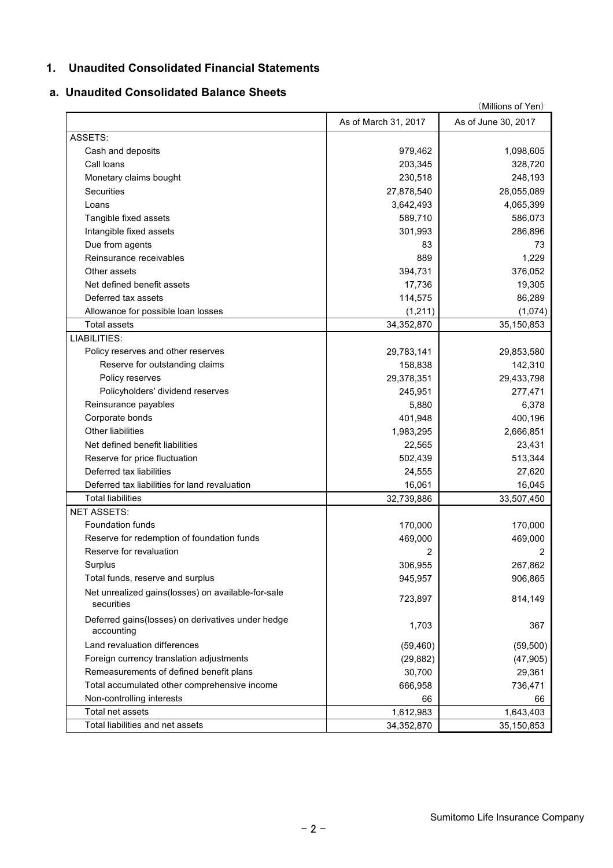#### **1. Unaudited Consolidated Financial Statements**

#### **a. Unaudited Consolidated Balance Sheets**

|                                                                  | (Millions of Yen)    |                     |  |  |  |
|------------------------------------------------------------------|----------------------|---------------------|--|--|--|
|                                                                  | As of March 31, 2017 | As of June 30, 2017 |  |  |  |
| ASSETS:                                                          |                      |                     |  |  |  |
| Cash and deposits                                                | 979,462              | 1,098,605           |  |  |  |
| Call loans                                                       | 203,345              | 328,720             |  |  |  |
| Monetary claims bought                                           | 230,518              | 248,193             |  |  |  |
| Securities                                                       | 27,878,540           | 28,055,089          |  |  |  |
| Loans                                                            | 3,642,493            | 4,065,399           |  |  |  |
| Tangible fixed assets                                            | 589,710              | 586,073             |  |  |  |
| Intangible fixed assets                                          | 301,993              | 286,896             |  |  |  |
| Due from agents                                                  | 83                   | 73                  |  |  |  |
| Reinsurance receivables                                          | 889                  | 1,229               |  |  |  |
| Other assets                                                     | 394,731              | 376,052             |  |  |  |
| Net defined benefit assets                                       | 17,736               | 19,305              |  |  |  |
| Deferred tax assets                                              | 114,575              | 86,289              |  |  |  |
| Allowance for possible loan losses                               | (1,211)              | (1,074)             |  |  |  |
| <b>Total assets</b>                                              | 34,352,870           | 35,150,853          |  |  |  |
| LIABILITIES:                                                     |                      |                     |  |  |  |
| Policy reserves and other reserves                               | 29,783,141           | 29,853,580          |  |  |  |
| Reserve for outstanding claims                                   | 158,838              | 142,310             |  |  |  |
| Policy reserves                                                  | 29,378,351           | 29,433,798          |  |  |  |
| Policyholders' dividend reserves                                 | 245,951              | 277,471             |  |  |  |
| Reinsurance payables                                             | 5,880                | 6,378               |  |  |  |
| Corporate bonds                                                  | 401,948              | 400,196             |  |  |  |
| <b>Other liabilities</b>                                         | 1,983,295            | 2,666,851           |  |  |  |
| Net defined benefit liabilities                                  | 22,565               | 23,431              |  |  |  |
| Reserve for price fluctuation                                    | 502,439              | 513,344             |  |  |  |
| Deferred tax liabilities                                         | 24,555               | 27,620              |  |  |  |
| Deferred tax liabilities for land revaluation                    | 16,061               | 16,045              |  |  |  |
| <b>Total liabilities</b>                                         | 32,739,886           | 33,507,450          |  |  |  |
| <b>NET ASSETS:</b>                                               |                      |                     |  |  |  |
| <b>Foundation funds</b>                                          | 170,000              | 170,000             |  |  |  |
| Reserve for redemption of foundation funds                       | 469,000              | 469,000             |  |  |  |
| Reserve for revaluation                                          | 2                    | 2                   |  |  |  |
| Surplus                                                          |                      | 267,862             |  |  |  |
|                                                                  | 306,955              |                     |  |  |  |
| Total funds, reserve and surplus                                 | 945,957              | 906,865             |  |  |  |
| Net unrealized gains(losses) on available-for-sale<br>securities | 723,897              | 814,149             |  |  |  |
| Deferred gains(losses) on derivatives under hedge<br>accounting  | 1,703                | 367                 |  |  |  |
| Land revaluation differences                                     | (59, 460)            | (59, 500)           |  |  |  |
| Foreign currency translation adjustments                         | (29, 882)            | (47, 905)           |  |  |  |
| Remeasurements of defined benefit plans                          | 30,700               | 29,361              |  |  |  |
| Total accumulated other comprehensive income                     | 666,958              | 736,471             |  |  |  |
| Non-controlling interests                                        | 66                   | 66                  |  |  |  |
| Total net assets                                                 | 1,612,983            | 1,643,403           |  |  |  |
| Total liabilities and net assets                                 | 34,352,870           | 35,150,853          |  |  |  |
|                                                                  |                      |                     |  |  |  |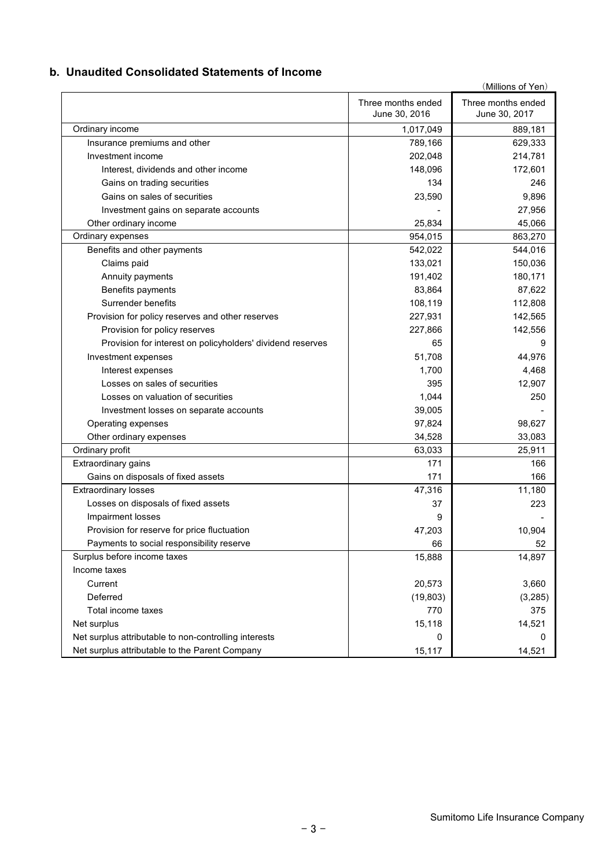#### **b. Unaudited Consolidated Statements of Income**

|                                                            |                                     | (Millions of Yen)                   |
|------------------------------------------------------------|-------------------------------------|-------------------------------------|
|                                                            | Three months ended<br>June 30, 2016 | Three months ended<br>June 30, 2017 |
| Ordinary income                                            | 1,017,049                           | 889,181                             |
| Insurance premiums and other                               | 789,166                             | 629,333                             |
| Investment income                                          | 202,048                             | 214,781                             |
| Interest, dividends and other income                       | 148,096                             | 172,601                             |
| Gains on trading securities                                | 134                                 | 246                                 |
| Gains on sales of securities                               | 23,590                              | 9,896                               |
| Investment gains on separate accounts                      |                                     | 27,956                              |
| Other ordinary income                                      | 25,834                              | 45,066                              |
| Ordinary expenses                                          | 954,015                             | 863,270                             |
| Benefits and other payments                                | 542,022                             | 544,016                             |
| Claims paid                                                | 133,021                             | 150,036                             |
| Annuity payments                                           | 191,402                             | 180,171                             |
| Benefits payments                                          | 83,864                              | 87,622                              |
| Surrender benefits                                         | 108,119                             | 112,808                             |
| Provision for policy reserves and other reserves           | 227,931                             | 142,565                             |
| Provision for policy reserves                              | 227,866                             | 142,556                             |
| Provision for interest on policyholders' dividend reserves | 65                                  | 9                                   |
| Investment expenses                                        | 51,708                              | 44,976                              |
| Interest expenses                                          | 1,700                               | 4,468                               |
| Losses on sales of securities                              | 395                                 | 12,907                              |
| Losses on valuation of securities                          | 1,044                               | 250                                 |
| Investment losses on separate accounts                     | 39,005                              |                                     |
| Operating expenses                                         | 97,824                              | 98,627                              |
| Other ordinary expenses                                    | 34,528                              | 33,083                              |
| Ordinary profit                                            | 63,033                              | 25,911                              |
| Extraordinary gains                                        | 171                                 | 166                                 |
| Gains on disposals of fixed assets                         | 171                                 | 166                                 |
| <b>Extraordinary losses</b>                                | 47,316                              | 11,180                              |
| Losses on disposals of fixed assets                        | 37                                  | 223                                 |
| Impairment losses                                          | 9                                   |                                     |
| Provision for reserve for price fluctuation                | 47,203                              | 10,904                              |
| Payments to social responsibility reserve                  | 66                                  | 52                                  |
| Surplus before income taxes                                | 15,888                              | 14,897                              |
| Income taxes                                               |                                     |                                     |
| Current                                                    | 20,573                              | 3,660                               |
| Deferred                                                   | (19, 803)                           | (3, 285)                            |
| Total income taxes                                         | 770                                 | 375                                 |
| Net surplus                                                | 15,118                              | 14,521                              |
| Net surplus attributable to non-controlling interests      | 0                                   | 0                                   |
| Net surplus attributable to the Parent Company             | 15,117                              | 14,521                              |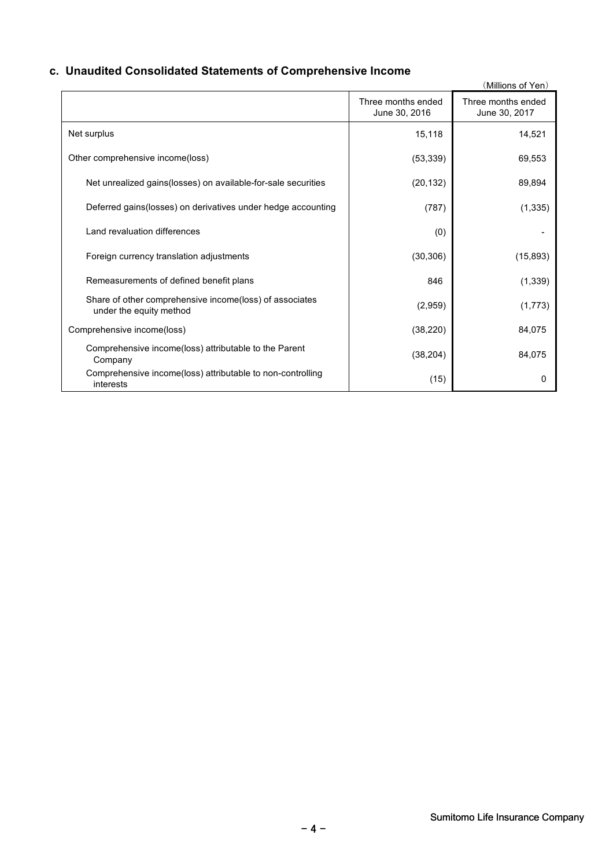## **c. Unaudited Consolidated Statements of Comprehensive Income**

|                                                                                    |                                     | (Millions of Yen)                   |
|------------------------------------------------------------------------------------|-------------------------------------|-------------------------------------|
|                                                                                    | Three months ended<br>June 30, 2016 | Three months ended<br>June 30, 2017 |
| Net surplus                                                                        | 15,118                              | 14,521                              |
| Other comprehensive income(loss)                                                   | (53, 339)                           | 69,553                              |
| Net unrealized gains(losses) on available-for-sale securities                      | (20, 132)                           | 89,894                              |
| Deferred gains(losses) on derivatives under hedge accounting                       | (787)                               | (1, 335)                            |
| Land revaluation differences                                                       | (0)                                 |                                     |
| Foreign currency translation adjustments                                           | (30, 306)                           | (15, 893)                           |
| Remeasurements of defined benefit plans                                            | 846                                 | (1, 339)                            |
| Share of other comprehensive income(loss) of associates<br>under the equity method | (2,959)                             | (1,773)                             |
| Comprehensive income(loss)                                                         | (38, 220)                           | 84,075                              |
| Comprehensive income(loss) attributable to the Parent<br>Company                   | (38, 204)                           | 84,075                              |
| Comprehensive income(loss) attributable to non-controlling<br>interests            | (15)                                | 0                                   |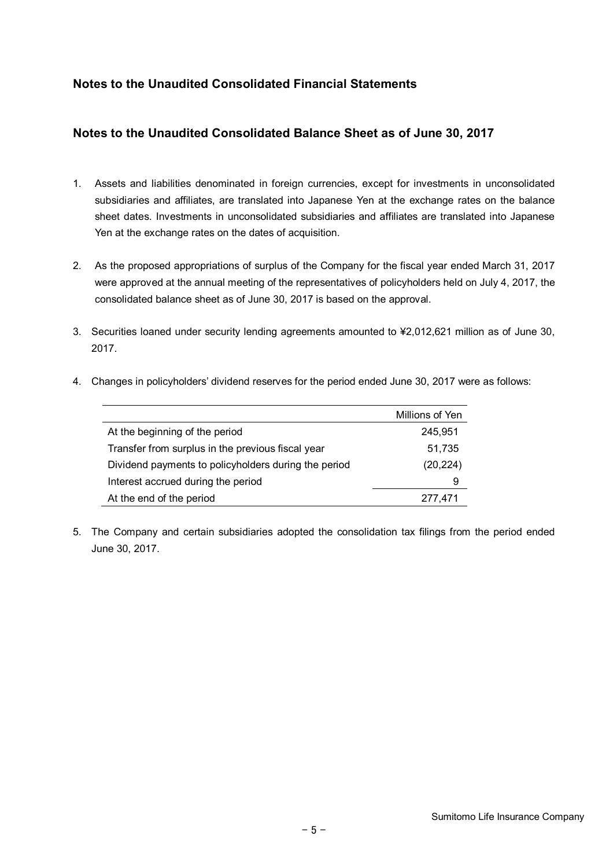## **Notes to the Unaudited Consolidated Financial Statements**

#### **Notes to the Unaudited Consolidated Balance Sheet as of June 30, 2017**

- 1. Assets and liabilities denominated in foreign currencies, except for investments in unconsolidated subsidiaries and affiliates, are translated into Japanese Yen at the exchange rates on the balance sheet dates. Investments in unconsolidated subsidiaries and affiliates are translated into Japanese Yen at the exchange rates on the dates of acquisition.
- 2. As the proposed appropriations of surplus of the Company for the fiscal year ended March 31, 2017 were approved at the annual meeting of the representatives of policyholders held on July 4, 2017, the consolidated balance sheet as of June 30, 2017 is based on the approval.
- 3. Securities loaned under security lending agreements amounted to ¥2,012,621 million as of June 30, 2017.

|                                                      | Millions of Yen |
|------------------------------------------------------|-----------------|
| At the beginning of the period                       | 245,951         |
| Transfer from surplus in the previous fiscal year    | 51,735          |
| Dividend payments to policyholders during the period | (20, 224)       |
| Interest accrued during the period                   | 9               |
| At the end of the period                             | 277,471         |

4. Changes in policyholders' dividend reserves for the period ended June 30, 2017 were as follows:

5. The Company and certain subsidiaries adopted the consolidation tax filings from the period ended June 30, 2017.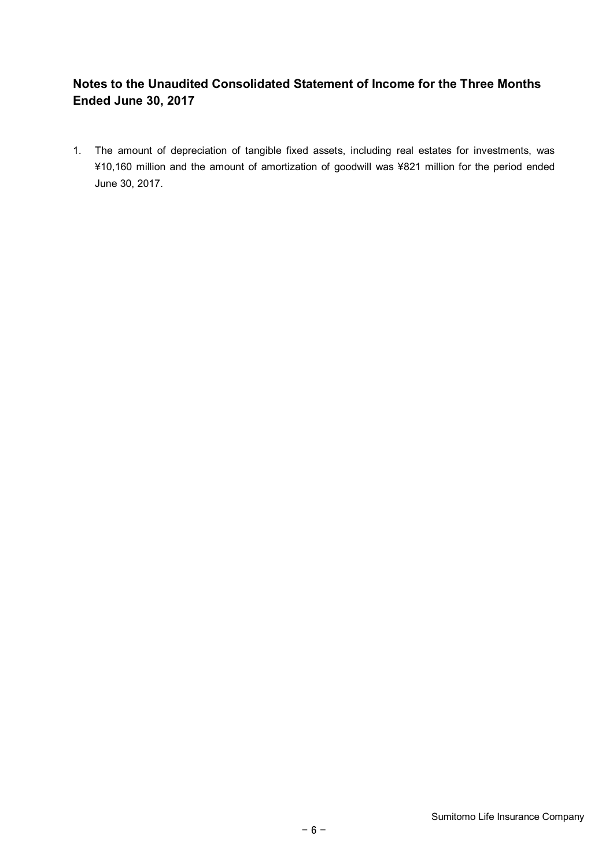# **Notes to the Unaudited Consolidated Statement of Income for the Three Months Ended June 30, 2017**

1. The amount of depreciation of tangible fixed assets, including real estates for investments, was ¥10,160 million and the amount of amortization of goodwill was ¥821 million for the period ended June 30, 2017.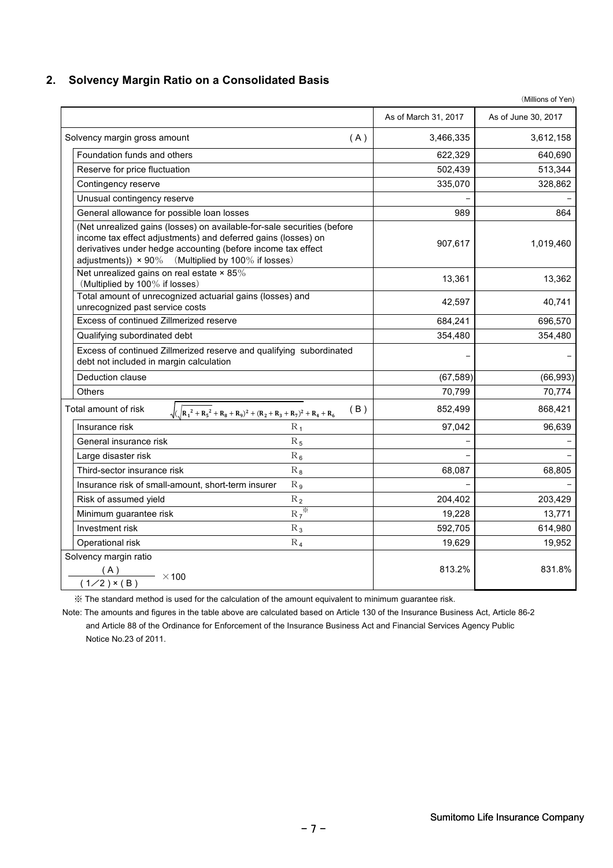#### **2. Solvency Margin Ratio on a Consolidated Basis**

|                                                                                                                                                                                                                                                                       |                      | (Millions of Yen)   |
|-----------------------------------------------------------------------------------------------------------------------------------------------------------------------------------------------------------------------------------------------------------------------|----------------------|---------------------|
|                                                                                                                                                                                                                                                                       | As of March 31, 2017 | As of June 30, 2017 |
| Solvency margin gross amount<br>(A)                                                                                                                                                                                                                                   | 3,466,335            | 3,612,158           |
| Foundation funds and others                                                                                                                                                                                                                                           | 622,329              | 640,690             |
| Reserve for price fluctuation                                                                                                                                                                                                                                         | 502,439              | 513,344             |
| Contingency reserve                                                                                                                                                                                                                                                   | 335,070              | 328,862             |
| Unusual contingency reserve                                                                                                                                                                                                                                           |                      |                     |
| General allowance for possible loan losses                                                                                                                                                                                                                            | 989                  | 864                 |
| (Net unrealized gains (losses) on available-for-sale securities (before<br>income tax effect adjustments) and deferred gains (losses) on<br>derivatives under hedge accounting (before income tax effect<br>adjustments)) $\times$ 90% (Multiplied by 100% if losses) | 907,617              | 1,019,460           |
| Net unrealized gains on real estate $\times$ 85%<br>(Multiplied by 100% if losses)                                                                                                                                                                                    | 13,361               | 13,362              |
| Total amount of unrecognized actuarial gains (losses) and<br>unrecognized past service costs                                                                                                                                                                          | 42,597               | 40,741              |
| Excess of continued Zillmerized reserve                                                                                                                                                                                                                               | 684,241              | 696,570             |
| Qualifying subordinated debt                                                                                                                                                                                                                                          | 354,480              | 354,480             |
| Excess of continued Zillmerized reserve and qualifying subordinated<br>debt not included in margin calculation                                                                                                                                                        |                      |                     |
| Deduction clause                                                                                                                                                                                                                                                      | (67, 589)            | (66, 993)           |
| <b>Others</b>                                                                                                                                                                                                                                                         | 70,799               | 70.774              |
| Total amount of risk<br>(B)<br>$\sqrt{(R_1^2+R_5^2+R_8+R_9)^2+(R_2+R_3+R_7)^2+R_4+R_6)}$                                                                                                                                                                              | 852,499              | 868,421             |
| $R_1$<br>Insurance risk                                                                                                                                                                                                                                               | 97,042               | 96,639              |
| General insurance risk<br>$R_5$                                                                                                                                                                                                                                       |                      |                     |
| $R_6$<br>Large disaster risk                                                                                                                                                                                                                                          |                      |                     |
| Third-sector insurance risk<br>$R_8$                                                                                                                                                                                                                                  | 68,087               | 68,805              |
| Insurance risk of small-amount, short-term insurer<br>R <sub>9</sub>                                                                                                                                                                                                  |                      |                     |
| Risk of assumed yield<br>$R_2$                                                                                                                                                                                                                                        | 204,402              | 203,429             |
| $R\overline{\mathcal{F}^{\mathcal{K}}}$<br>Minimum guarantee risk                                                                                                                                                                                                     | 19,228               | 13,771              |
| Investment risk<br>$R_3$                                                                                                                                                                                                                                              | 592,705              | 614,980             |
| Operational risk<br>$R_4$                                                                                                                                                                                                                                             | 19,629               | 19,952              |
| Solvency margin ratio<br>(A)<br>$\longrightarrow$ ×100<br>$(1/2)$ × (B)                                                                                                                                                                                               | 813.2%               | 831.8%              |

※ The standard method is used for the calculation of the amount equivalent to minimum guarantee risk.

Note: The amounts and figures in the table above are calculated based on Article 130 of the Insurance Business Act, Article 86-2 and Article 88 of the Ordinance for Enforcement of the Insurance Business Act and Financial Services Agency Public Notice No.23 of 2011.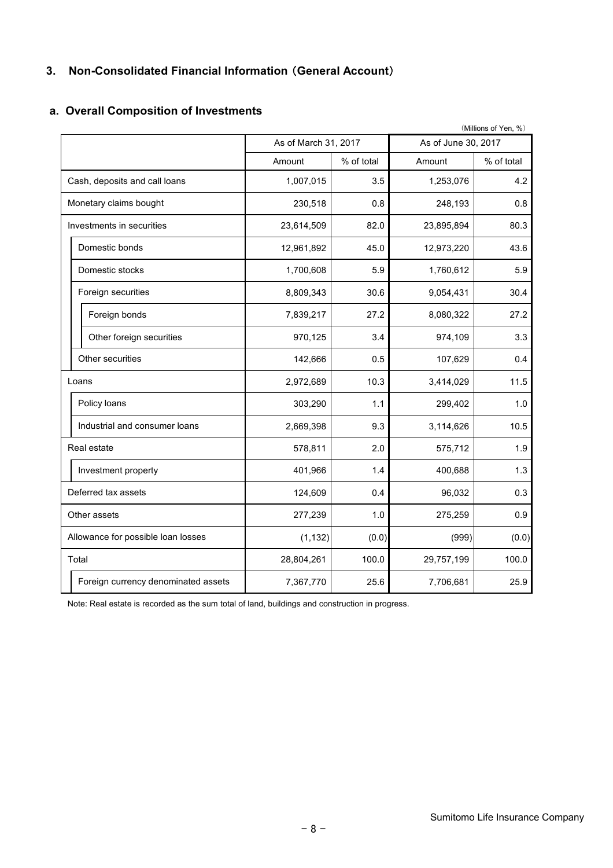## **3. Non-Consolidated Financial Information** (**General Account**)

|                                     |                      |            |                     | (Millions of Yen, %) |
|-------------------------------------|----------------------|------------|---------------------|----------------------|
|                                     | As of March 31, 2017 |            | As of June 30, 2017 |                      |
|                                     | Amount               | % of total | Amount              | % of total           |
| Cash, deposits and call loans       | 1,007,015            | 3.5        | 1,253,076           | 4.2                  |
| Monetary claims bought              | 230,518              | 0.8        | 248,193             | 0.8                  |
| Investments in securities           | 23,614,509           | 82.0       | 23,895,894          | 80.3                 |
| Domestic bonds                      | 12,961,892           | 45.0       | 12,973,220          | 43.6                 |
| Domestic stocks                     | 1,700,608            | 5.9        | 1,760,612           | 5.9                  |
| Foreign securities                  | 8,809,343            | 30.6       | 9,054,431           | 30.4                 |
| Foreign bonds                       | 7,839,217            | 27.2       | 8,080,322           | 27.2                 |
| Other foreign securities            | 970,125              | 3.4        | 974,109             | 3.3                  |
| Other securities                    | 142,666              | 0.5        | 107,629             | 0.4                  |
| Loans                               | 2,972,689            | 10.3       | 3,414,029           | 11.5                 |
| Policy loans                        | 303,290              | 1.1        | 299,402             | 1.0                  |
| Industrial and consumer loans       | 2,669,398            | 9.3        | 3,114,626           | 10.5                 |
| Real estate                         | 578,811              | 2.0        | 575,712             | 1.9                  |
| Investment property                 | 401,966              | 1.4        | 400,688             | 1.3                  |
| Deferred tax assets                 | 124,609              | 0.4        | 96,032              | 0.3                  |
| Other assets                        | 277,239              | 1.0        | 275,259             | 0.9                  |
| Allowance for possible loan losses  | (1, 132)             | (0.0)      | (999)               | (0.0)                |
| Total                               | 28,804,261           | 100.0      | 29,757,199          | 100.0                |
| Foreign currency denominated assets | 7,367,770            | 25.6       | 7,706,681           | 25.9                 |

#### **a. Overall Composition of Investments**

Note: Real estate is recorded as the sum total of land, buildings and construction in progress.